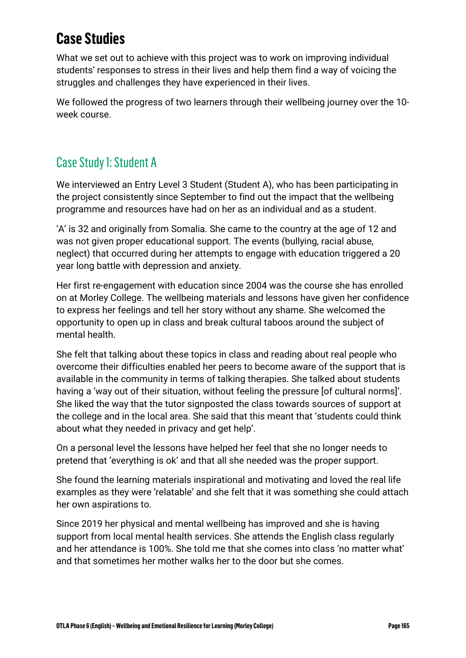## **Case Studies**

What we set out to achieve with this project was to work on improving individual students' responses to stress in their lives and help them find a way of voicing the struggles and challenges they have experienced in their lives.

We followed the progress of two learners through their wellbeing journey over the 10 week course.

## Case Study 1: Student A

We interviewed an Entry Level 3 Student (Student A), who has been participating in the project consistently since September to find out the impact that the wellbeing programme and resources have had on her as an individual and as a student.

'A' is 32 and originally from Somalia. She came to the country at the age of 12 and was not given proper educational support. The events (bullying, racial abuse, neglect) that occurred during her attempts to engage with education triggered a 20 year long battle with depression and anxiety.

Her first re-engagement with education since 2004 was the course she has enrolled on at Morley College. The wellbeing materials and lessons have given her confidence to express her feelings and tell her story without any shame. She welcomed the opportunity to open up in class and break cultural taboos around the subject of mental health.

She felt that talking about these topics in class and reading about real people who overcome their difficulties enabled her peers to become aware of the support that is available in the community in terms of talking therapies. She talked about students having a 'way out of their situation, without feeling the pressure [of cultural norms]'. She liked the way that the tutor signposted the class towards sources of support at the college and in the local area. She said that this meant that 'students could think about what they needed in privacy and get help'.

On a personal level the lessons have helped her feel that she no longer needs to pretend that 'everything is ok' and that all she needed was the proper support.

She found the learning materials inspirational and motivating and loved the real life examples as they were 'relatable' and she felt that it was something she could attach her own aspirations to.

Since 2019 her physical and mental wellbeing has improved and she is having support from local mental health services. She attends the English class regularly and her attendance is 100%. She told me that she comes into class 'no matter what' and that sometimes her mother walks her to the door but she comes.